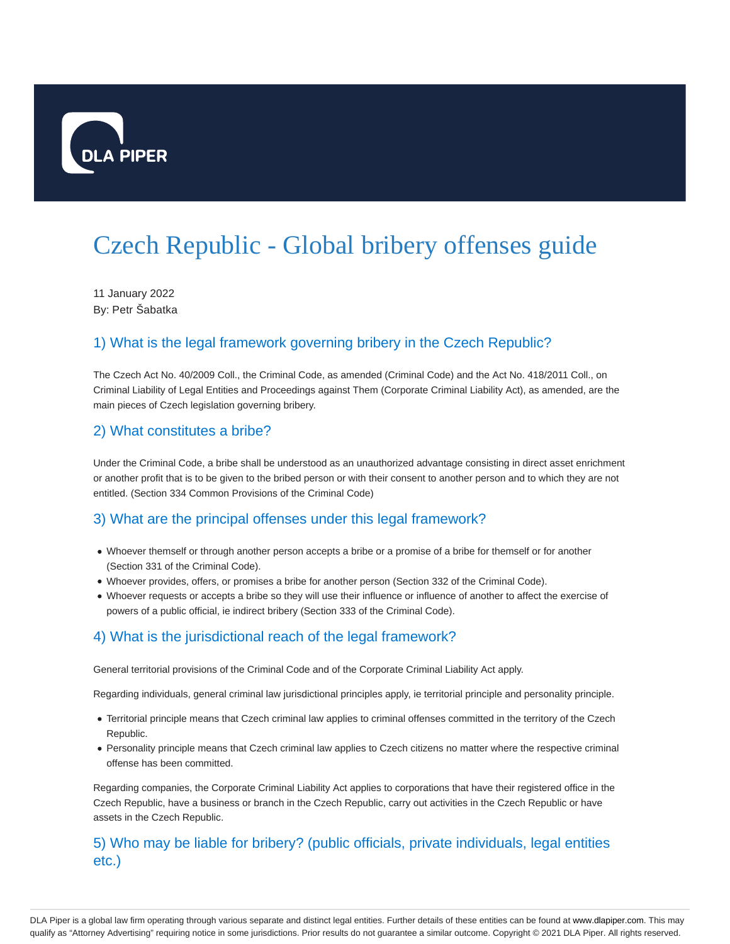

# Czech Republic - Global bribery offenses guide

11 January 2022 By: Petr Šabatka

### 1) What is the legal framework governing bribery in the Czech Republic?

The Czech Act No. 40/2009 Coll., the Criminal Code, as amended (Criminal Code) and the Act No. 418/2011 Coll., on Criminal Liability of Legal Entities and Proceedings against Them (Corporate Criminal Liability Act), as amended, are the main pieces of Czech legislation governing bribery.

#### 2) What constitutes a bribe?

Under the Criminal Code, a bribe shall be understood as an unauthorized advantage consisting in direct asset enrichment or another profit that is to be given to the bribed person or with their consent to another person and to which they are not entitled. (Section 334 Common Provisions of the Criminal Code)

#### 3) What are the principal offenses under this legal framework?

- Whoever themself or through another person accepts a bribe or a promise of a bribe for themself or for another (Section 331 of the Criminal Code).
- Whoever provides, offers, or promises a bribe for another person (Section 332 of the Criminal Code).
- Whoever requests or accepts a bribe so they will use their influence or influence of another to affect the exercise of powers of a public official, ie indirect bribery (Section 333 of the Criminal Code).

#### 4) What is the jurisdictional reach of the legal framework?

General territorial provisions of the Criminal Code and of the Corporate Criminal Liability Act apply.

Regarding individuals, general criminal law jurisdictional principles apply, ie territorial principle and personality principle.

- Territorial principle means that Czech criminal law applies to criminal offenses committed in the territory of the Czech Republic.
- Personality principle means that Czech criminal law applies to Czech citizens no matter where the respective criminal offense has been committed.

Regarding companies, the Corporate Criminal Liability Act applies to corporations that have their registered office in the Czech Republic, have a business or branch in the Czech Republic, carry out activities in the Czech Republic or have assets in the Czech Republic.

#### 5) Who may be liable for bribery? (public officials, private individuals, legal entities etc.)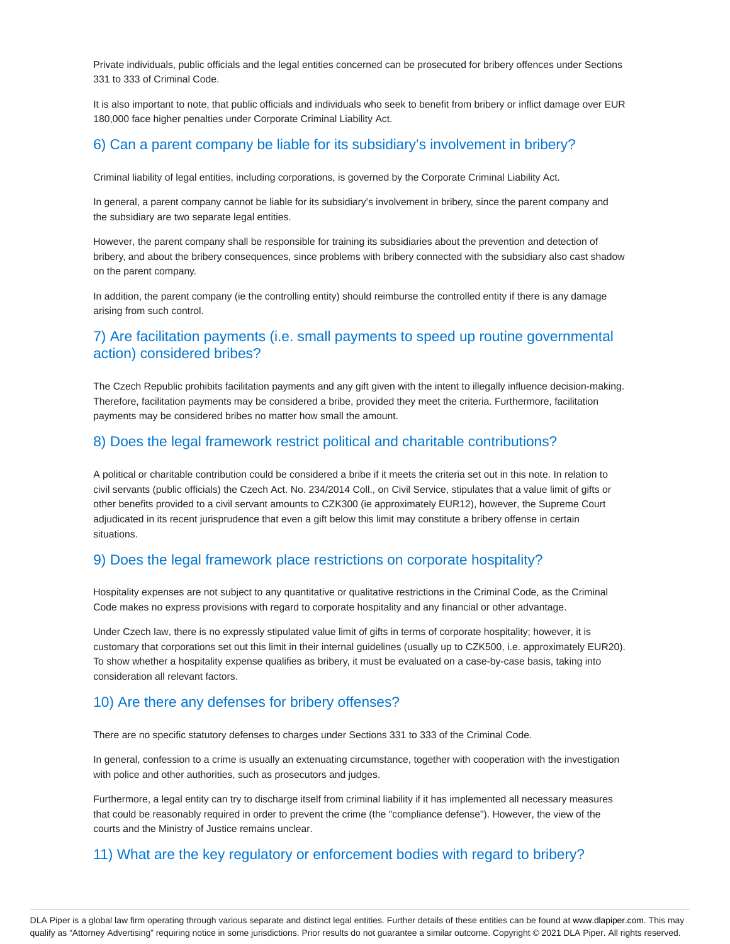Private individuals, public officials and the legal entities concerned can be prosecuted for bribery offences under Sections 331 to 333 of Criminal Code.

It is also important to note, that public officials and individuals who seek to benefit from bribery or inflict damage over EUR 180,000 face higher penalties under Corporate Criminal Liability Act.

#### 6) Can a parent company be liable for its subsidiary's involvement in bribery?

Criminal liability of legal entities, including corporations, is governed by the Corporate Criminal Liability Act.

In general, a parent company cannot be liable for its subsidiary's involvement in bribery, since the parent company and the subsidiary are two separate legal entities.

However, the parent company shall be responsible for training its subsidiaries about the prevention and detection of bribery, and about the bribery consequences, since problems with bribery connected with the subsidiary also cast shadow on the parent company.

In addition, the parent company (ie the controlling entity) should reimburse the controlled entity if there is any damage arising from such control.

#### 7) Are facilitation payments (i.e. small payments to speed up routine governmental action) considered bribes?

The Czech Republic prohibits facilitation payments and any gift given with the intent to illegally influence decision-making. Therefore, facilitation payments may be considered a bribe, provided they meet the criteria. Furthermore, facilitation payments may be considered bribes no matter how small the amount.

#### 8) Does the legal framework restrict political and charitable contributions?

A political or charitable contribution could be considered a bribe if it meets the criteria set out in this note. In relation to civil servants (public officials) the Czech Act. No. 234/2014 Coll., on Civil Service, stipulates that a value limit of gifts or other benefits provided to a civil servant amounts to CZK300 (ie approximately EUR12), however, the Supreme Court adjudicated in its recent jurisprudence that even a gift below this limit may constitute a bribery offense in certain situations.

#### 9) Does the legal framework place restrictions on corporate hospitality?

Hospitality expenses are not subject to any quantitative or qualitative restrictions in the Criminal Code, as the Criminal Code makes no express provisions with regard to corporate hospitality and any financial or other advantage.

Under Czech law, there is no expressly stipulated value limit of gifts in terms of corporate hospitality; however, it is customary that corporations set out this limit in their internal guidelines (usually up to CZK500, i.e. approximately EUR20). To show whether a hospitality expense qualifies as bribery, it must be evaluated on a case-by-case basis, taking into consideration all relevant factors.

#### 10) Are there any defenses for bribery offenses?

There are no specific statutory defenses to charges under Sections 331 to 333 of the Criminal Code.

In general, confession to a crime is usually an extenuating circumstance, together with cooperation with the investigation with police and other authorities, such as prosecutors and judges.

Furthermore, a legal entity can try to discharge itself from criminal liability if it has implemented all necessary measures that could be reasonably required in order to prevent the crime (the "compliance defense"). However, the view of the courts and the Ministry of Justice remains unclear.

#### 11) What are the key regulatory or enforcement bodies with regard to bribery?

DLA Piper is a global law firm operating through various separate and distinct legal entities. Further details of these entities can be found at www.dlapiper.com. This may qualify as "Attorney Advertising" requiring notice in some jurisdictions. Prior results do not guarantee a similar outcome. Copyright © 2021 DLA Piper. All rights reserved.